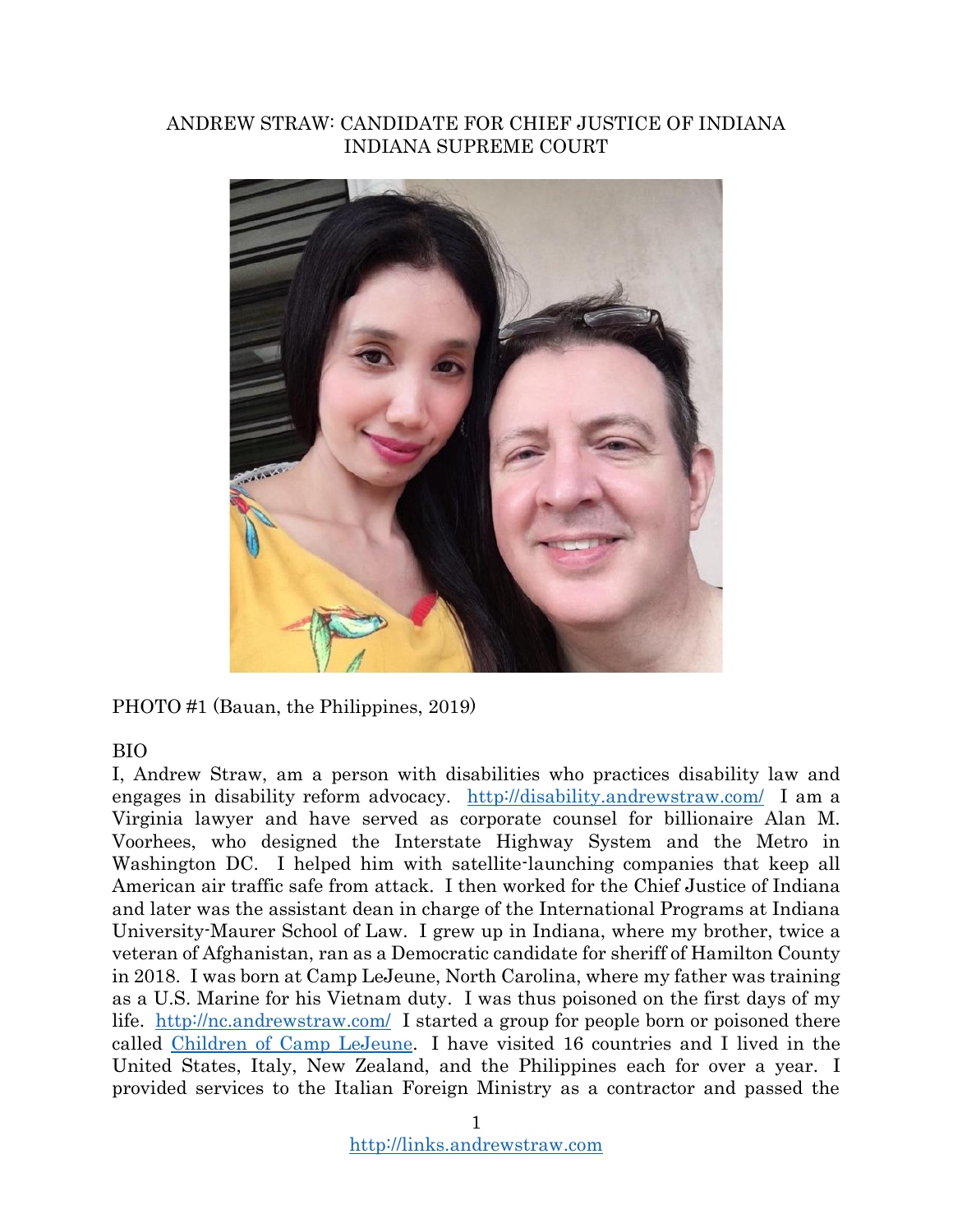#### ANDREW STRAW: CANDIDATE FOR CHIEF JUSTICE OF INDIANA INDIANA SUPREME COURT



PHOTO #1 (Bauan, the Philippines, 2019)

### BIO

I, Andrew Straw, am a person with disabilities who practices disability law and engages in disability reform advocacy. <http://disability.andrewstraw.com/>I am a Virginia lawyer and have served as corporate counsel for billionaire Alan M. Voorhees, who designed the Interstate Highway System and the Metro in Washington DC. I helped him with satellite-launching companies that keep all American air traffic safe from attack. I then worked for the Chief Justice of Indiana and later was the assistant dean in charge of the International Programs at Indiana University-Maurer School of Law. I grew up in Indiana, where my brother, twice a veteran of Afghanistan, ran as a Democratic candidate for sheriff of Hamilton County in 2018. I was born at Camp LeJeune, North Carolina, where my father was training as a U.S. Marine for his Vietnam duty. I was thus poisoned on the first days of my life. <http://nc.andrewstraw.com/>I started a group for people born or poisoned there called [Children of Camp LeJeune.](https://www.youtube.com/watch?v=MKojwUm0qwk) I have visited 16 countries and I lived in the United States, Italy, New Zealand, and the Philippines each for over a year. I provided services to the Italian Foreign Ministry as a contractor and passed the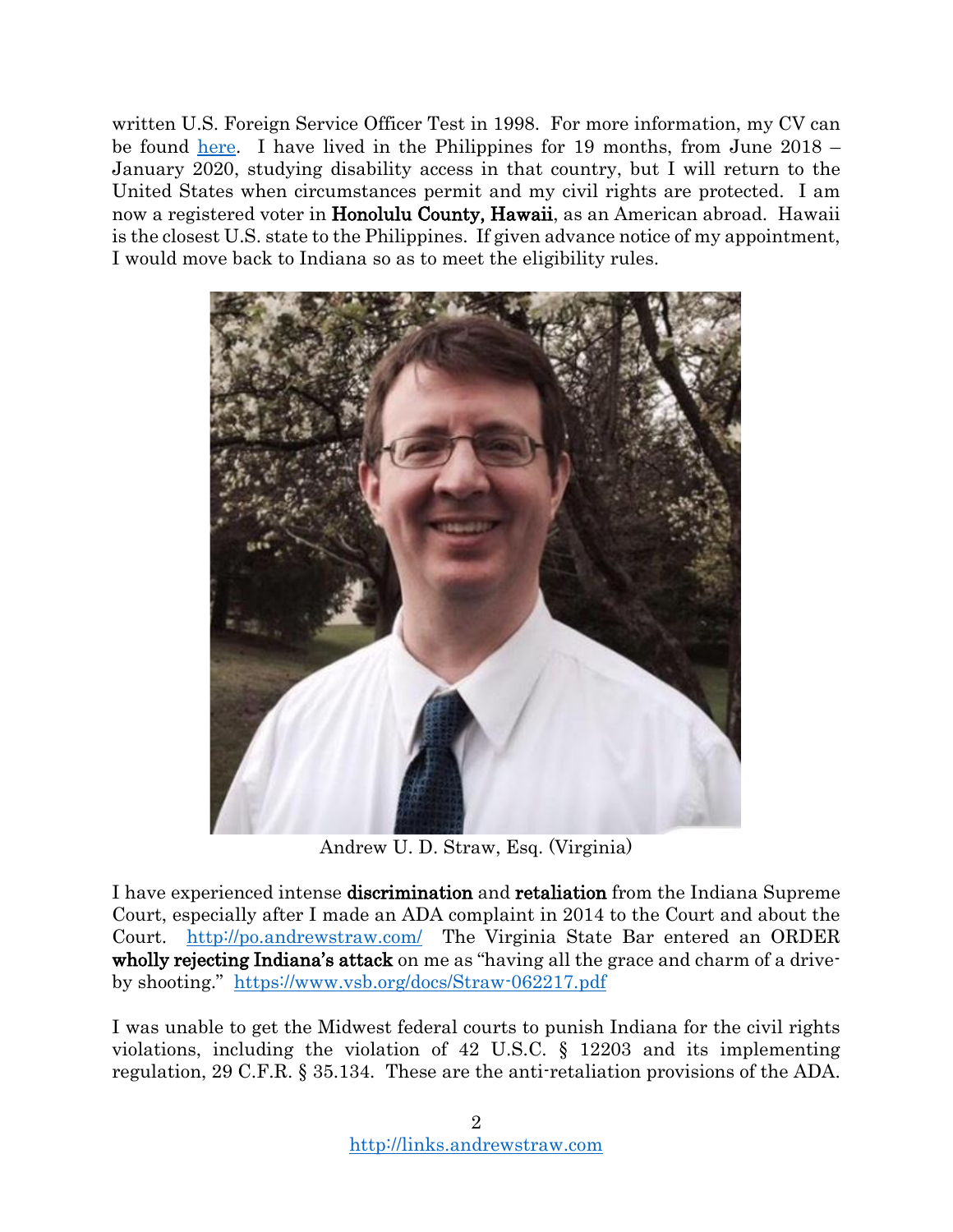written U.S. Foreign Service Officer Test in 1998. For more information, my CV can be found [here.](http://www.andrewstraw.com/) I have lived in the Philippines for 19 months, from June 2018 – January 2020, studying disability access in that country, but I will return to the United States when circumstances permit and my civil rights are protected. I am now a registered voter in Honolulu County, Hawaii, as an American abroad. Hawaii is the closest U.S. state to the Philippines. If given advance notice of my appointment, I would move back to Indiana so as to meet the eligibility rules.



Andrew U. D. Straw, Esq. (Virginia)

I have experienced intense discrimination and retaliation from the Indiana Supreme Court, especially after I made an ADA complaint in 2014 to the Court and about the Court. <http://po.andrewstraw.com/>The Virginia State Bar entered an ORDER wholly rejecting Indiana's attack on me as "having all the grace and charm of a driveby shooting." <https://www.vsb.org/docs/Straw-062217.pdf>

I was unable to get the Midwest federal courts to punish Indiana for the civil rights violations, including the violation of 42 U.S.C. § 12203 and its implementing regulation, 29 C.F.R. § 35.134. These are the anti-retaliation provisions of the ADA.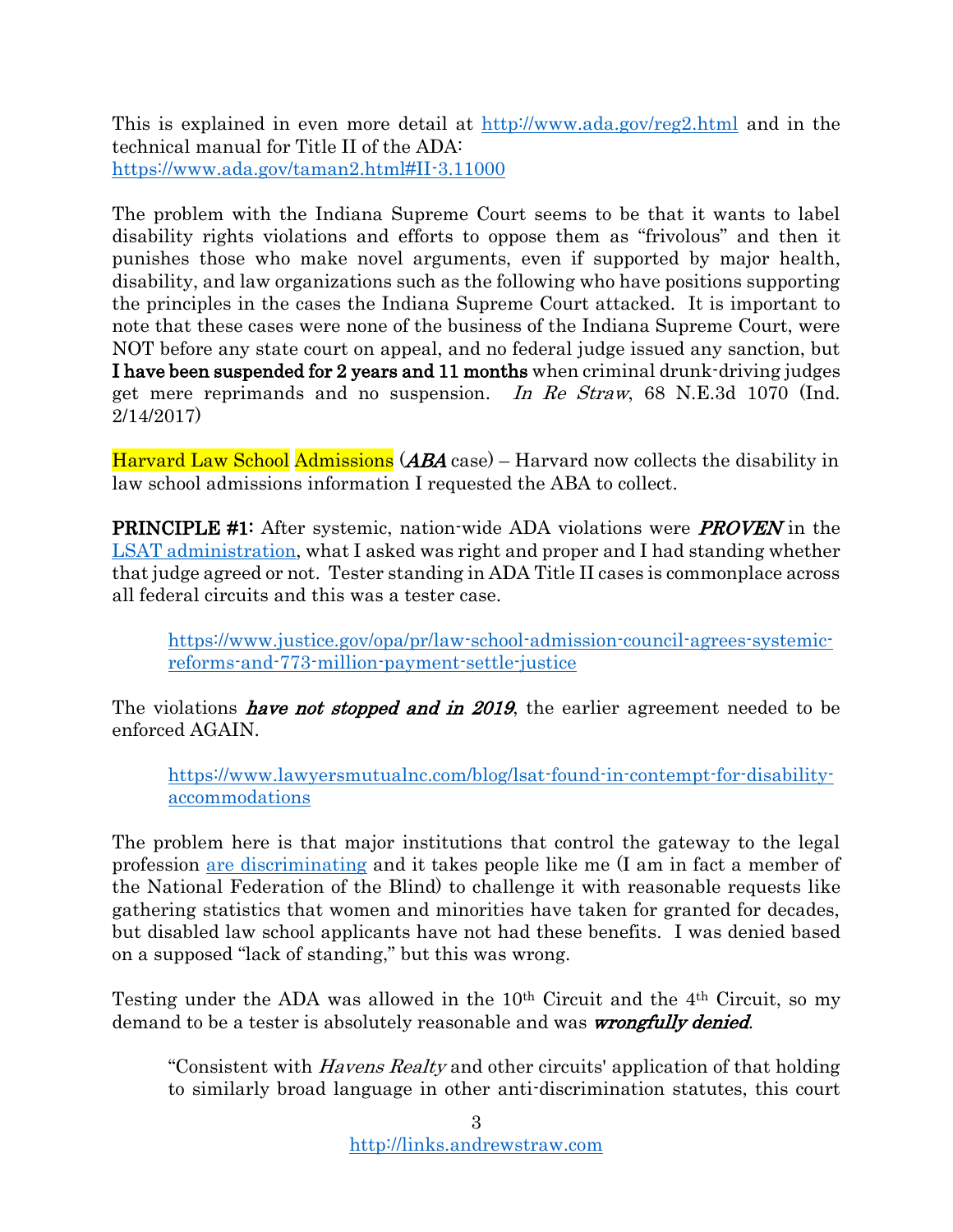This is explained in even more detail at<http://www.ada.gov/reg2.html> and in the technical manual for Title II of the ADA: <https://www.ada.gov/taman2.html#II-3.11000>

The problem with the Indiana Supreme Court seems to be that it wants to label disability rights violations and efforts to oppose them as "frivolous" and then it punishes those who make novel arguments, even if supported by major health, disability, and law organizations such as the following who have positions supporting the principles in the cases the Indiana Supreme Court attacked. It is important to note that these cases were none of the business of the Indiana Supreme Court, were NOT before any state court on appeal, and no federal judge issued any sanction, but I have been suspended for 2 years and 11 months when criminal drunk-driving judges get mere reprimands and no suspension. In Re Straw, 68 N.E.3d 1070 (Ind. 2/14/2017)

Harvard Law School Admissions (ABA case) – Harvard now collects the disability in law school admissions information I requested the ABA to collect.

**PRINCIPLE #1:** After systemic, nation-wide ADA violations were **PROVEN** in the [LSAT administration,](https://www.nfb.org/images/nfb/publications/bm/bm12/bm1201/bm120103.htm) what I asked was right and proper and I had standing whether that judge agreed or not. Tester standing in ADA Title II cases is commonplace across all federal circuits and this was a tester case.

[https://www.justice.gov/opa/pr/law-school-admission-council-agrees-systemic](https://www.justice.gov/opa/pr/law-school-admission-council-agrees-systemic-reforms-and-773-million-payment-settle-justice)[reforms-and-773-million-payment-settle-justice](https://www.justice.gov/opa/pr/law-school-admission-council-agrees-systemic-reforms-and-773-million-payment-settle-justice)

The violations *have not stopped and in 2019*, the earlier agreement needed to be enforced AGAIN.

[https://www.lawyersmutualnc.com/blog/lsat-found-in-contempt-for-disability](https://www.lawyersmutualnc.com/blog/lsat-found-in-contempt-for-disability-accommodations)[accommodations](https://www.lawyersmutualnc.com/blog/lsat-found-in-contempt-for-disability-accommodations)

The problem here is that major institutions that control the gateway to the legal profession [are discriminating](https://www.nfb.org/images/nfb/publications/bm/bm12/bm1201/bm120103.htm) and it takes people like me (I am in fact a member of the National Federation of the Blind) to challenge it with reasonable requests like gathering statistics that women and minorities have taken for granted for decades, but disabled law school applicants have not had these benefits. I was denied based on a supposed "lack of standing," but this was wrong.

Testing under the ADA was allowed in the 10th Circuit and the 4th Circuit, so my demand to be a tester is absolutely reasonable and was *wrongfully denied*.

"Consistent with *Havens Realty* and other circuits' application of that holding to similarly broad language in other anti-discrimination statutes, this court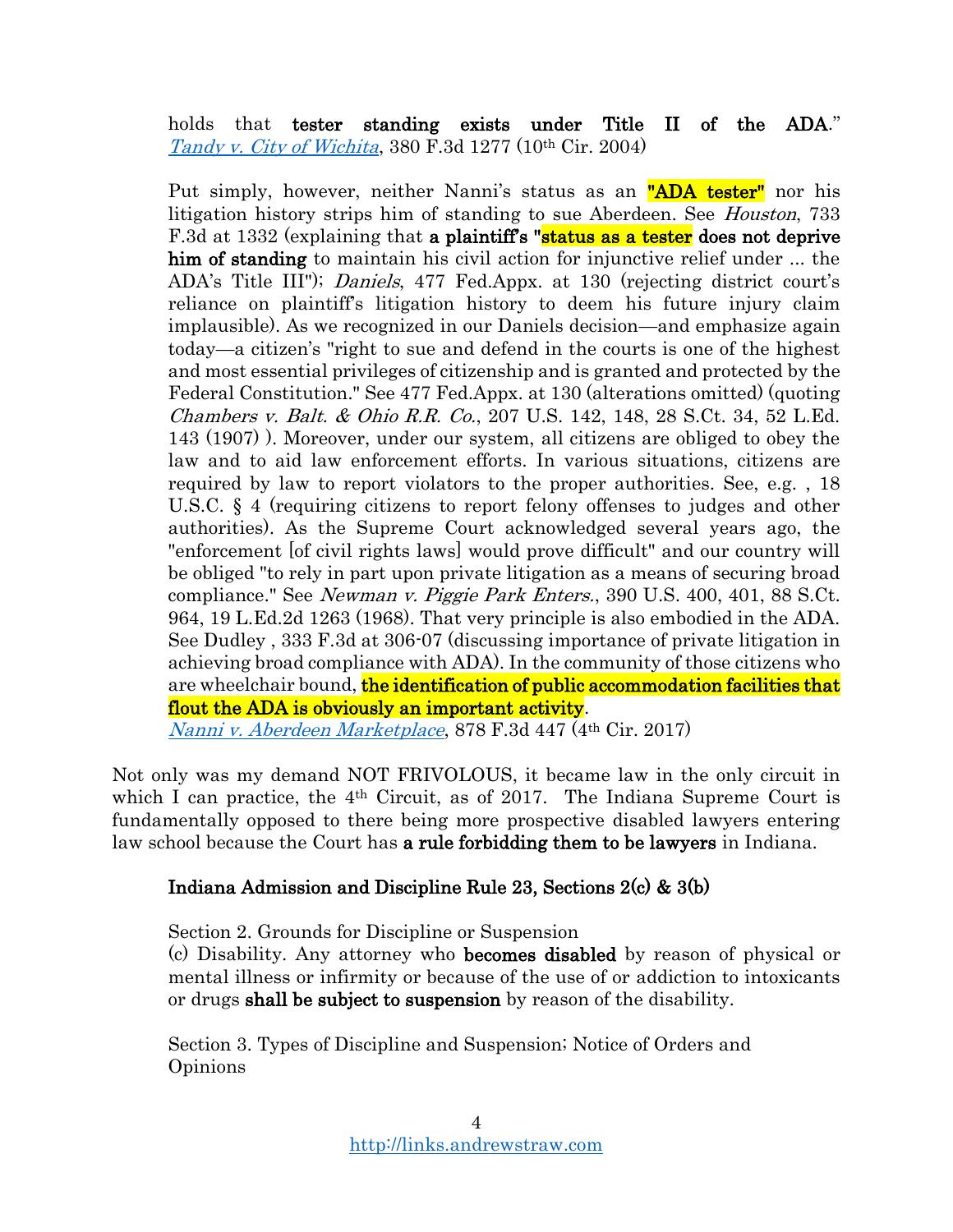holds that tester standing exists under Title II of the ADA." [Tandy v. City of Wichita](https://casetext.com/case/tandy-v-city-of-wichita-2), 380 F.3d 1277 (10th Cir. 2004)

Put simply, however, neither Nanni's status as an "ADA tester" nor his litigation history strips him of standing to sue Aberdeen. See *Houston*, 733 F.3d at 1332 (explaining that a plaintiff's "status as a tester does not deprive him of standing to maintain his civil action for injunctive relief under ... the ADA's Title III"); Daniels, 477 Fed.Appx. at 130 (rejecting district court's reliance on plaintiff's litigation history to deem his future injury claim implausible). As we recognized in our Daniels decision—and emphasize again today—a citizen's "right to sue and defend in the courts is one of the highest and most essential privileges of citizenship and is granted and protected by the Federal Constitution." See 477 Fed.Appx. at 130 (alterations omitted) (quoting Chambers v. Balt. & Ohio R.R. Co., 207 U.S. 142, 148, 28 S.Ct. 34, 52 L.Ed. 143 (1907) ). Moreover, under our system, all citizens are obliged to obey the law and to aid law enforcement efforts. In various situations, citizens are required by law to report violators to the proper authorities. See, e.g. , 18 U.S.C. § 4 (requiring citizens to report felony offenses to judges and other authorities). As the Supreme Court acknowledged several years ago, the "enforcement [of civil rights laws] would prove difficult" and our country will be obliged "to rely in part upon private litigation as a means of securing broad compliance." See *Newman v. Piggie Park Enters.*, 390 U.S. 400, 401, 88 S.Ct. 964, 19 L.Ed.2d 1263 (1968). That very principle is also embodied in the ADA. See Dudley , 333 F.3d at 306-07 (discussing importance of private litigation in achieving broad compliance with ADA). In the community of those citizens who are wheelchair bound, **the identification of public accommodation facilities that** flout the ADA is obviously an important activity.

[Nanni v. Aberdeen Marketplace](https://casetext.com/case/nanni-v-aberdeen-marketplace-inc-2), 878 F.3d 447 (4th Cir. 2017)

Not only was my demand NOT FRIVOLOUS, it became law in the only circuit in which I can practice, the 4<sup>th</sup> Circuit, as of 2017. The Indiana Supreme Court is fundamentally opposed to there being more prospective disabled lawyers entering law school because the Court has **a rule forbidding them to be lawyers** in Indiana.

### Indiana Admission and Discipline Rule 23, Sections 2(c) & 3(b)

Section 2. Grounds for Discipline or Suspension

(c) Disability. Any attorney who becomes disabled by reason of physical or mental illness or infirmity or because of the use of or addiction to intoxicants or drugs shall be subject to suspension by reason of the disability.

Section 3. Types of Discipline and Suspension; Notice of Orders and Opinions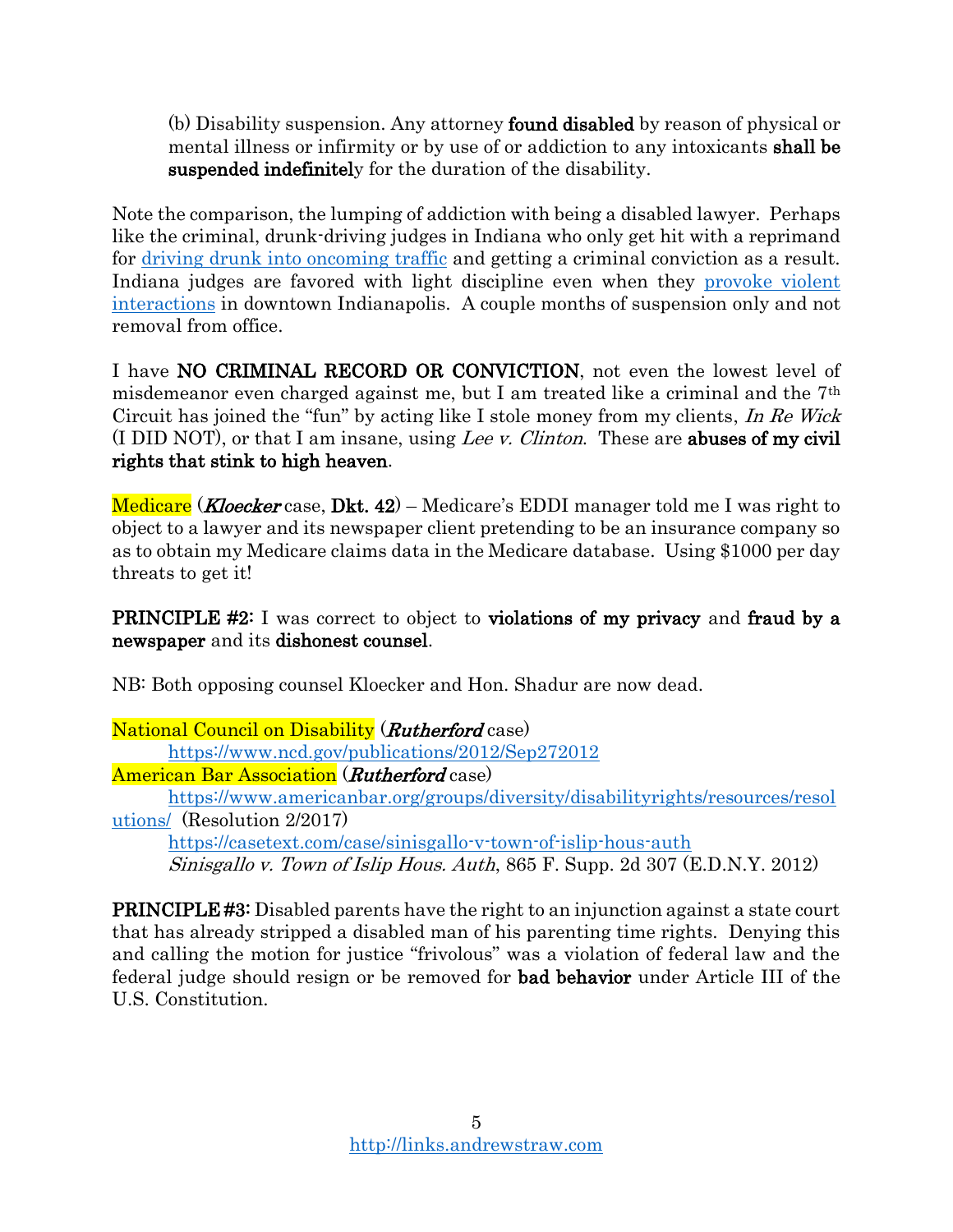(b) Disability suspension. Any attorney found disabled by reason of physical or mental illness or infirmity or by use of or addiction to any intoxicants shall be suspended indefinitely for the duration of the disability.

Note the comparison, the lumping of addiction with being a disabled lawyer. Perhaps like the criminal, drunk-driving judges in Indiana who only get hit with a reprimand for [driving drunk into oncoming](https://www.in.gov/judiciary/opinions/pdf/02201701per.pdf) traffic and getting a criminal conviction as a result. Indiana judges are favored with light discipline even when they [provoke violent](https://www.npr.org/2019/11/14/779339897/3-indiana-judges-suspended-after-white-castle-brawl-that-left-2-of-them-wounded)  [interactions](https://www.npr.org/2019/11/14/779339897/3-indiana-judges-suspended-after-white-castle-brawl-that-left-2-of-them-wounded) in downtown Indianapolis. A couple months of suspension only and not removal from office.

I have NO CRIMINAL RECORD OR CONVICTION, not even the lowest level of misdemeanor even charged against me, but I am treated like a criminal and the 7th Circuit has joined the "fun" by acting like I stole money from my clients, In Re Wick (I DID NOT), or that I am insane, using Lee v. Clinton. These are abuses of my civil rights that stink to high heaven.

Medicare (*Kloecker* case, Dkt. 42) – Medicare's EDDI manager told me I was right to object to a lawyer and its newspaper client pretending to be an insurance company so as to obtain my Medicare claims data in the Medicare database. Using \$1000 per day threats to get it!

**PRINCIPLE #2:** I was correct to object to **violations of my privacy** and fraud by a newspaper and its dishonest counsel.

NB: Both opposing counsel Kloecker and Hon. Shadur are now dead.

National Council on Disability (*Rutherford* case) <https://www.ncd.gov/publications/2012/Sep272012> American Bar Association (*Rutherford* case)

[https://www.americanbar.org/groups/diversity/disabilityrights/resources/resol](https://www.americanbar.org/groups/diversity/disabilityrights/resources/resolutions/) [utions/](https://www.americanbar.org/groups/diversity/disabilityrights/resources/resolutions/) (Resolution 2/2017)

<https://casetext.com/case/sinisgallo-v-town-of-islip-hous-auth> Sinisgallo v. Town of Islip Hous. Auth, 865 F. Supp. 2d 307 (E.D.N.Y. 2012)

PRINCIPLE #3: Disabled parents have the right to an injunction against a state court that has already stripped a disabled man of his parenting time rights. Denying this and calling the motion for justice "frivolous" was a violation of federal law and the federal judge should resign or be removed for bad behavior under Article III of the U.S. Constitution.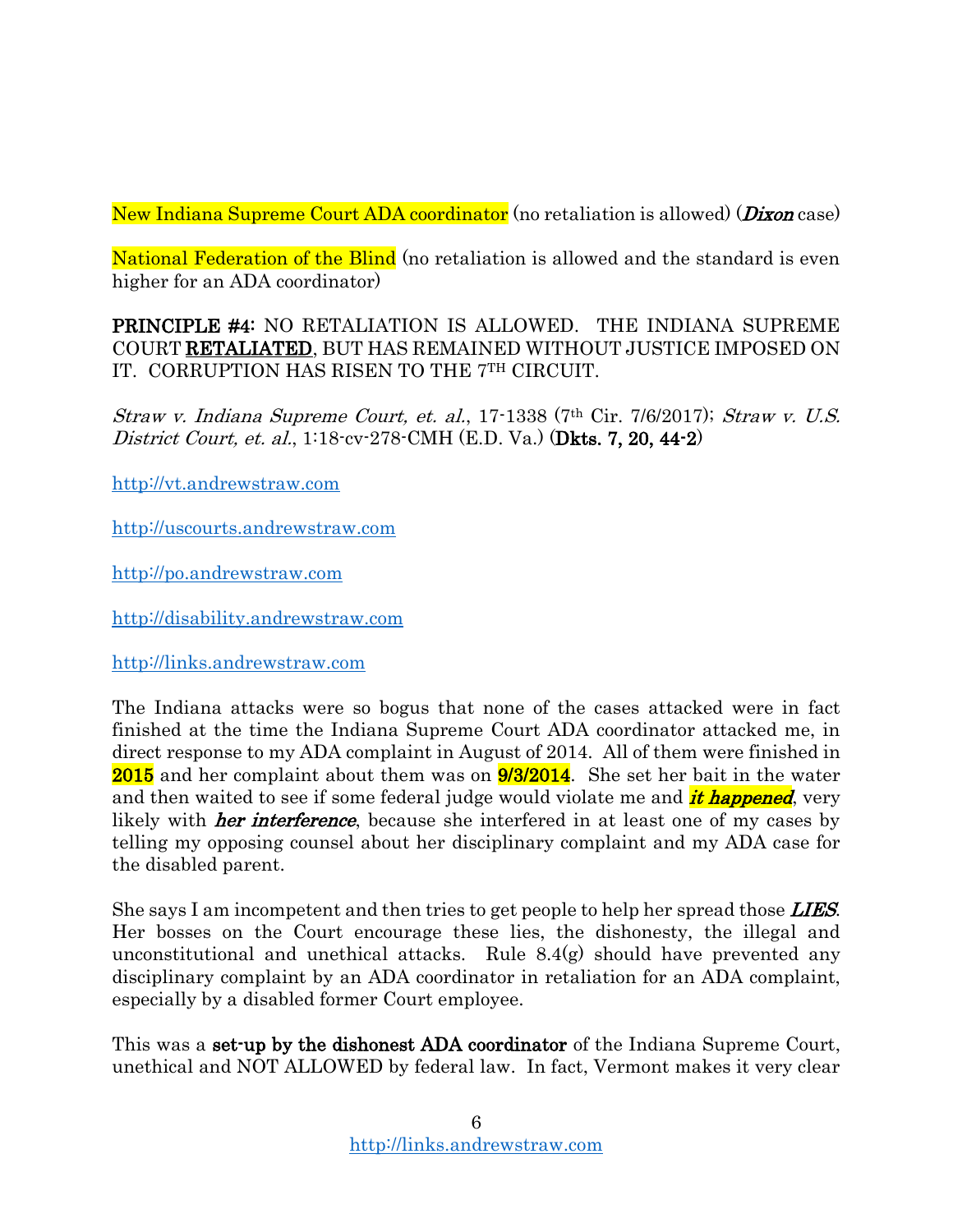New Indiana Supreme Court ADA coordinator (no retaliation is allowed) (Dixon case)

National Federation of the Blind (no retaliation is allowed and the standard is even higher for an ADA coordinator)

PRINCIPLE #4: NO RETALIATION IS ALLOWED. THE INDIANA SUPREME COURT RETALIATED, BUT HAS REMAINED WITHOUT JUSTICE IMPOSED ON IT. CORRUPTION HAS RISEN TO THE 7TH CIRCUIT.

Straw v. Indiana Supreme Court, et. al., 17-1338 (7th Cir. 7/6/2017); Straw v. U.S. District Court, et. al., 1:18-cv-278-CMH (E.D. Va.) (Dkts. 7, 20, 44-2)

[http://vt.andrewstraw.com](http://vt.andrewstraw.com/)

[http://uscourts.andrewstraw.com](http://uscourts.andrewstraw.com/)

[http://po.andrewstraw.com](http://po.andrewstraw.com/)

[http://disability.andrewstraw.com](http://disability.andrewstraw.com/)

[http://links.andrewstraw.com](http://links.andrewstraw.com/)

The Indiana attacks were so bogus that none of the cases attacked were in fact finished at the time the Indiana Supreme Court ADA coordinator attacked me, in direct response to my ADA complaint in August of 2014. All of them were finished in 2015 and her complaint about them was on 9/3/2014. She set her bait in the water and then waited to see if some federal judge would violate me and *it happened*, very likely with *her interference*, because she interfered in at least one of my cases by telling my opposing counsel about her disciplinary complaint and my ADA case for the disabled parent.

She says I am incompetent and then tries to get people to help her spread those **LIES**. Her bosses on the Court encourage these lies, the dishonesty, the illegal and unconstitutional and unethical attacks. Rule 8.4(g) should have prevented any disciplinary complaint by an ADA coordinator in retaliation for an ADA complaint, especially by a disabled former Court employee.

This was a **set-up by the dishonest ADA coordinator** of the Indiana Supreme Court, unethical and NOT ALLOWED by federal law. In fact, Vermont makes it very clear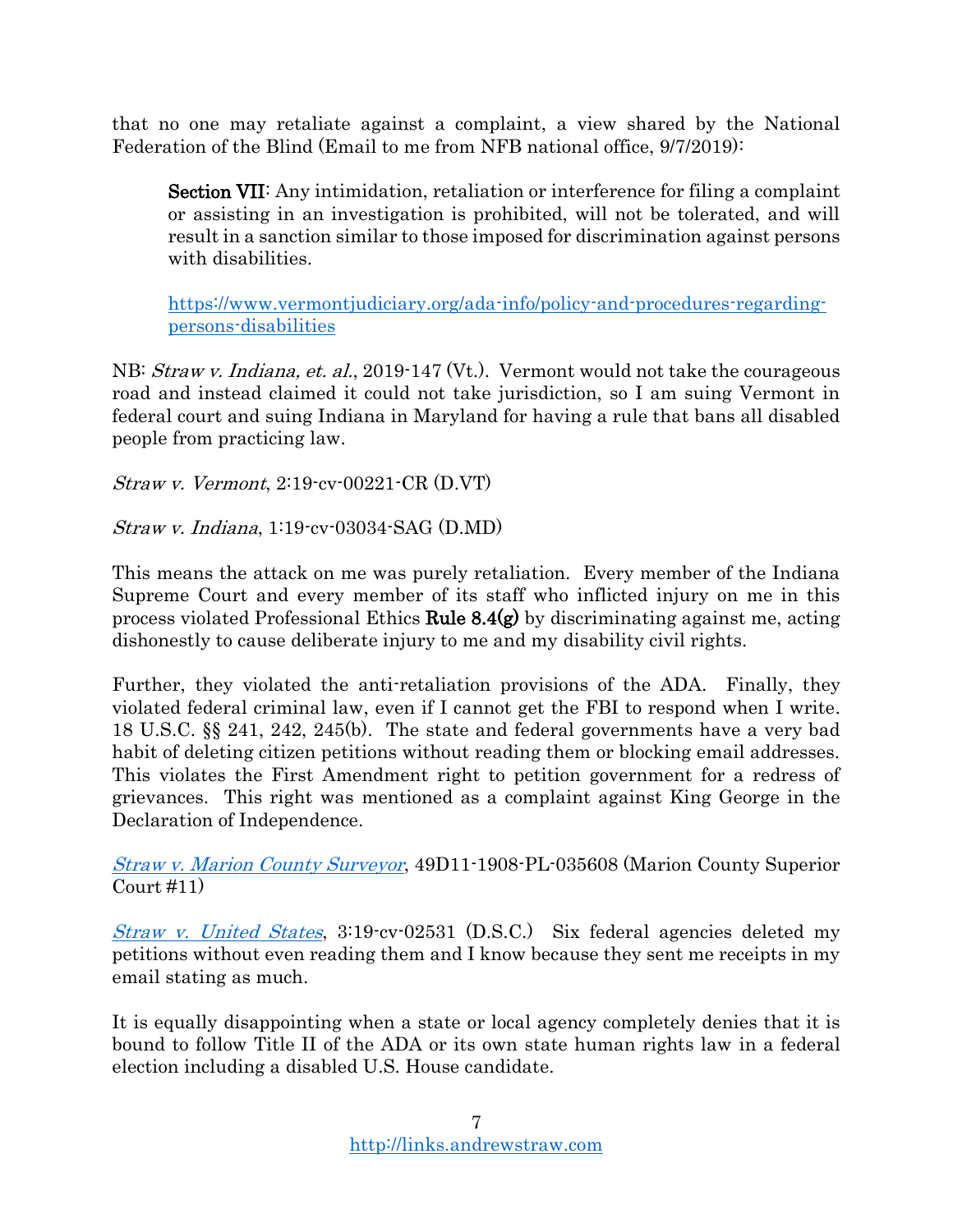that no one may retaliate against a complaint, a view shared by the National Federation of the Blind (Email to me from NFB national office, 9/7/2019):

Section VII: Any intimidation, retaliation or interference for filing a complaint or assisting in an investigation is prohibited, will not be tolerated, and will result in a sanction similar to those imposed for discrimination against persons with disabilities.

[https://www.vermontjudiciary.org/ada-info/policy-and-procedures-regarding](https://www.vermontjudiciary.org/ada-info/policy-and-procedures-regarding-persons-disabilities)[persons-disabilities](https://www.vermontjudiciary.org/ada-info/policy-and-procedures-regarding-persons-disabilities)

NB: *Straw v. Indiana, et. al.,* 2019-147 (Vt.). Vermont would not take the courageous road and instead claimed it could not take jurisdiction, so I am suing Vermont in federal court and suing Indiana in Maryland for having a rule that bans all disabled people from practicing law.

Straw v. Vermont, 2:19-cv-00221-CR (D.VT)

Straw v. Indiana, 1:19-cv-03034-SAG (D.MD)

This means the attack on me was purely retaliation. Every member of the Indiana Supreme Court and every member of its staff who inflicted injury on me in this process violated Professional Ethics Rule  $8.4(g)$  by discriminating against me, acting dishonestly to cause deliberate injury to me and my disability civil rights.

Further, they violated the anti-retaliation provisions of the ADA. Finally, they violated federal criminal law, even if I cannot get the FBI to respond when I write. 18 U.S.C. §§ 241, 242, 245(b). The state and federal governments have a very bad habit of deleting citizen petitions without reading them or blocking email addresses. This violates the First Amendment right to petition government for a redress of grievances. This right was mentioned as a complaint against King George in the Declaration of Independence.

[Straw v. Marion County Surveyor](https://drive.google.com/file/d/1a6Z0UUT-J2kdweWUda12uwV3VaW9xe34/view?usp=sharing), 49D11-1908-PL-035608 (Marion County Superior Court #11)

[Straw v. United States](https://drive.google.com/open?id=1WWElsNbanV2n68NC8oSXuSa_o2j2cHzM), 3:19-cv-02531 (D.S.C.) Six federal agencies deleted my petitions without even reading them and I know because they sent me receipts in my email stating as much.

It is equally disappointing when a state or local agency completely denies that it is bound to follow Title II of the ADA or its own state human rights law in a federal election including a disabled U.S. House candidate.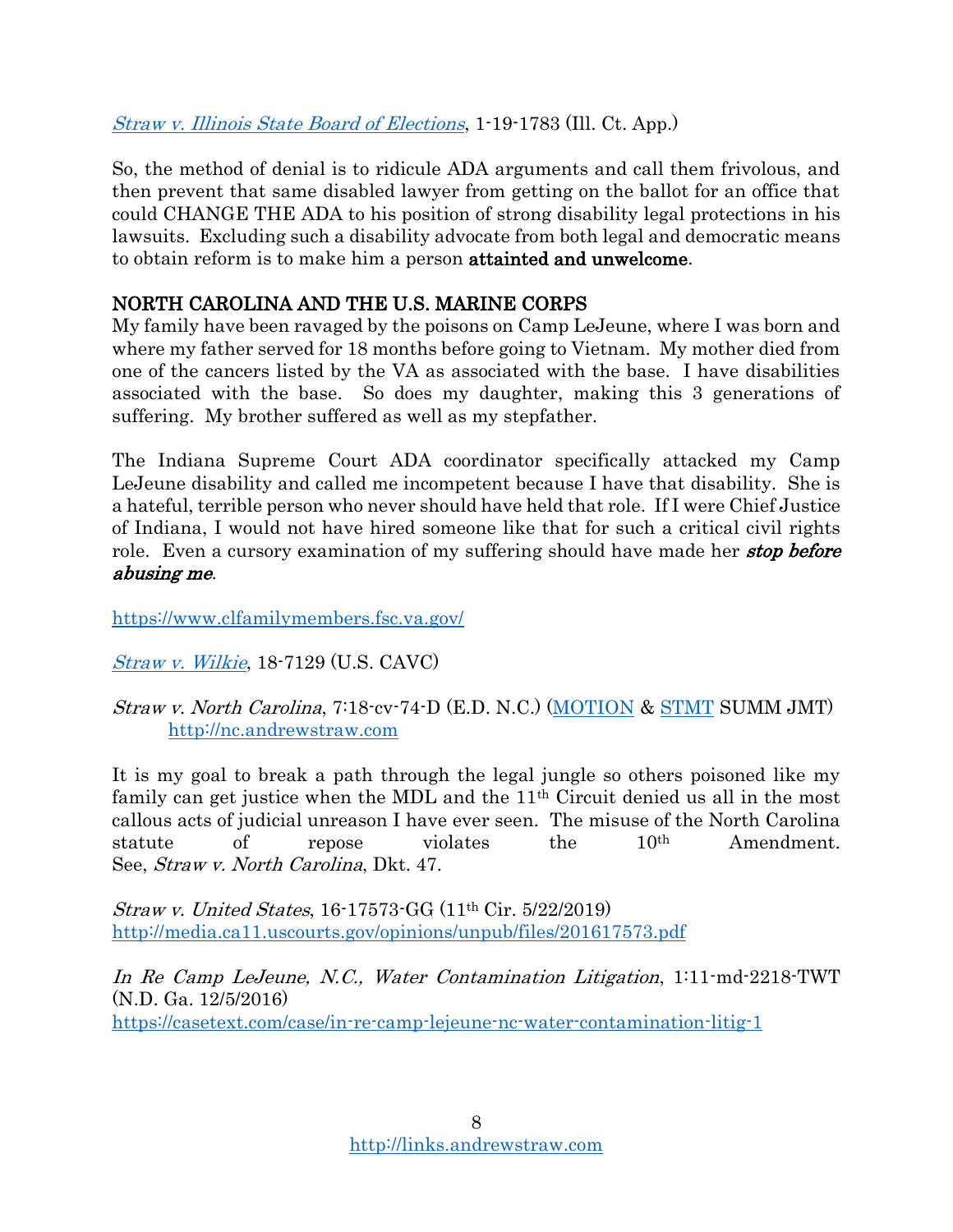[Straw v. Illinois State Board of Elections](https://drive.google.com/open?id=18ooi4tPKFL8Ex8ncxS2j6mGZ4r0umH-A), 1-19-1783 (Ill. Ct. App.)

So, the method of denial is to ridicule ADA arguments and call them frivolous, and then prevent that same disabled lawyer from getting on the ballot for an office that could CHANGE THE ADA to his position of strong disability legal protections in his lawsuits. Excluding such a disability advocate from both legal and democratic means to obtain reform is to make him a person attainted and unwelcome.

# NORTH CAROLINA AND THE U.S. MARINE CORPS

My family have been ravaged by the poisons on Camp LeJeune, where I was born and where my father served for 18 months before going to Vietnam. My mother died from one of the cancers listed by the VA as associated with the base. I have disabilities associated with the base. So does my daughter, making this 3 generations of suffering. My brother suffered as well as my stepfather.

The Indiana Supreme Court ADA coordinator specifically attacked my Camp LeJeune disability and called me incompetent because I have that disability. She is a hateful, terrible person who never should have held that role. If I were Chief Justice of Indiana, I would not have hired someone like that for such a critical civil rights role. Even a cursory examination of my suffering should have made her **stop before** abusing me.

<https://www.clfamilymembers.fsc.va.gov/>

[Straw v. Wilkie](https://efiling.uscourts.cavc.gov/cmecf/servlet/TransportRoom?servlet=CaseSummary.jsp&caseNum=18-7129&incOrigDkt=Y&incDktEntries=Y), 18-7129 (U.S. CAVC)

Straw v. North Carolina, 7:18-cv-74-D (E.D. N.C.) [\(MOTION](https://drive.google.com/file/d/1n9mqAtxT4RfR7axJQQuAYX3L9nOoIajC/view?usp=sharing) & [STMT](https://drive.google.com/file/d/1bU-naZW4KTqVS9B-6EmaS2JYB3h2xz0m/view?usp=sharing) SUMM JMT) [http://nc.andrewstraw.com](http://nc.andrewstraw.com/)

It is my goal to break a path through the legal jungle so others poisoned like my family can get justice when the MDL and the 11<sup>th</sup> Circuit denied us all in the most callous acts of judicial unreason I have ever seen. The misuse of the North Carolina statute of repose violates the 10th Amendment. See, Straw v. North Carolina, Dkt. 47.

Straw v. United States, 16-17573-GG (11th Cir. 5/22/2019) <http://media.ca11.uscourts.gov/opinions/unpub/files/201617573.pdf>

In Re Camp LeJeune, N.C., Water Contamination Litigation, 1:11-md-2218-TWT (N.D. Ga. 12/5/2016) <https://casetext.com/case/in-re-camp-lejeune-nc-water-contamination-litig-1>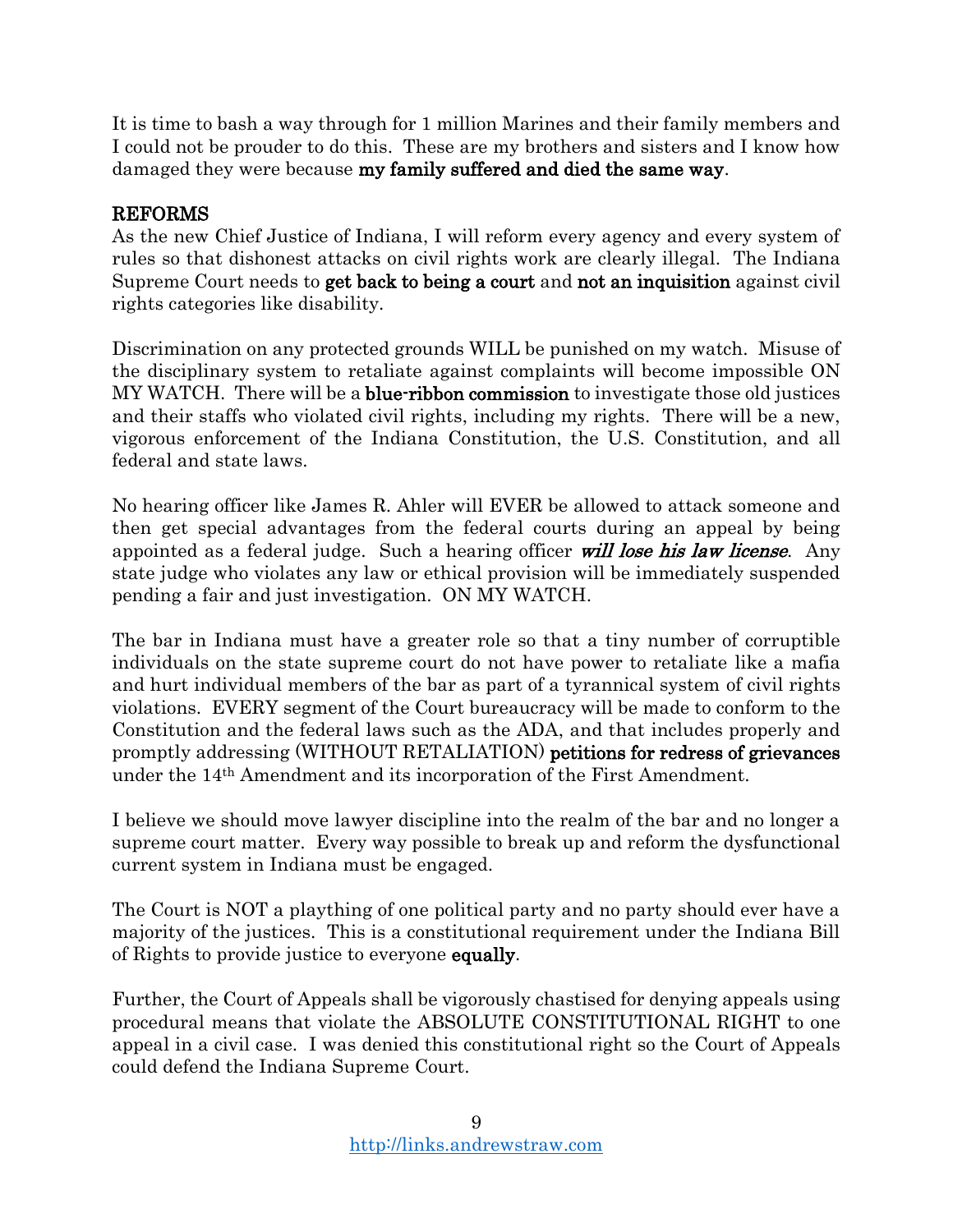It is time to bash a way through for 1 million Marines and their family members and I could not be prouder to do this. These are my brothers and sisters and I know how damaged they were because my family suffered and died the same way.

## REFORMS

As the new Chief Justice of Indiana, I will reform every agency and every system of rules so that dishonest attacks on civil rights work are clearly illegal. The Indiana Supreme Court needs to get back to being a court and not an inquisition against civil rights categories like disability.

Discrimination on any protected grounds WILL be punished on my watch. Misuse of the disciplinary system to retaliate against complaints will become impossible ON MY WATCH. There will be a blue-ribbon commission to investigate those old justices and their staffs who violated civil rights, including my rights. There will be a new, vigorous enforcement of the Indiana Constitution, the U.S. Constitution, and all federal and state laws.

No hearing officer like James R. Ahler will EVER be allowed to attack someone and then get special advantages from the federal courts during an appeal by being appointed as a federal judge. Such a hearing officer will lose his law license. Any state judge who violates any law or ethical provision will be immediately suspended pending a fair and just investigation. ON MY WATCH.

The bar in Indiana must have a greater role so that a tiny number of corruptible individuals on the state supreme court do not have power to retaliate like a mafia and hurt individual members of the bar as part of a tyrannical system of civil rights violations. EVERY segment of the Court bureaucracy will be made to conform to the Constitution and the federal laws such as the ADA, and that includes properly and promptly addressing (WITHOUT RETALIATION) petitions for redress of grievances under the 14th Amendment and its incorporation of the First Amendment.

I believe we should move lawyer discipline into the realm of the bar and no longer a supreme court matter. Every way possible to break up and reform the dysfunctional current system in Indiana must be engaged.

The Court is NOT a plaything of one political party and no party should ever have a majority of the justices. This is a constitutional requirement under the Indiana Bill of Rights to provide justice to everyone equally.

Further, the Court of Appeals shall be vigorously chastised for denying appeals using procedural means that violate the ABSOLUTE CONSTITUTIONAL RIGHT to one appeal in a civil case. I was denied this constitutional right so the Court of Appeals could defend the Indiana Supreme Court.